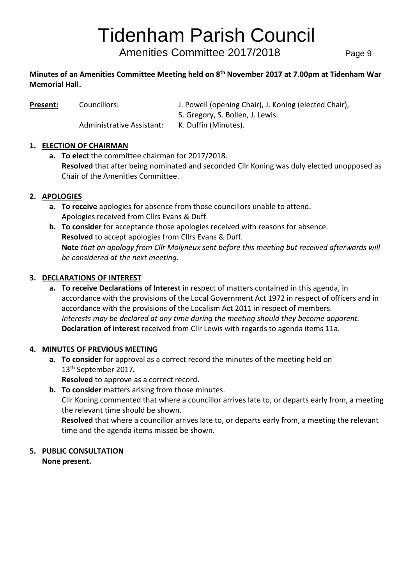# Tidenham Parish Council

Amenities Committee 2017/2018 Page 9

#### **Minutes of an Amenities Committee Meeting held on 8 th November 2017 at 7.00pm at Tidenham War Memorial Hall.**

**Present:** Councillors: J. Powell (opening Chair), J. Koning (elected Chair),

Administrative Assistant: K. Duffin (Minutes).

S. Gregory, S. Bollen, J. Lewis.

# **1. ELECTION OF CHAIRMAN**

**a. To elect** the committee chairman for 2017/2018. **Resolved** that after being nominated and seconded Cllr Koning was duly elected unopposed as Chair of the Amenities Committee.

# **2. APOLOGIES**

- **a. To receive** apologies for absence from those councillors unable to attend. Apologies received from Cllrs Evans & Duff.
- **b. To consider** for acceptance those apologies received with reasons for absence. **Resolved** to accept apologies from Cllrs Evans & Duff. **Note** *that an apology from Cllr Molyneux sent before this meeting but received afterwards will be considered at the next meeting.*

# **3. DECLARATIONS OF INTEREST**

**a. To receive Declarations of Interest** in respect of matters contained in this agenda, in accordance with the provisions of the Local Government Act 1972 in respect of officers and in accordance with the provisions of the Localism Act 2011 in respect of members. *Interests may be declared at any time during the meeting should they become apparent.* **Declaration of interest** received from Cllr Lewis with regards to agenda items 11a.

# **4. MINUTES OF PREVIOUS MEETING**

**a. To consider** for approval as a correct record the minutes of the meeting held on 13th September 2017*.*

**Resolved** to approve as a correct record.

time and the agenda items missed be shown.

**b. To consider** matters arising from those minutes. Cllr Koning commented that where a councillor arrives late to, or departs early from, a meeting the relevant time should be shown. **Resolved** that where a councillor arrives late to, or departs early from, a meeting the relevant

# **5. PUBLIC CONSULTATION**

**None present.**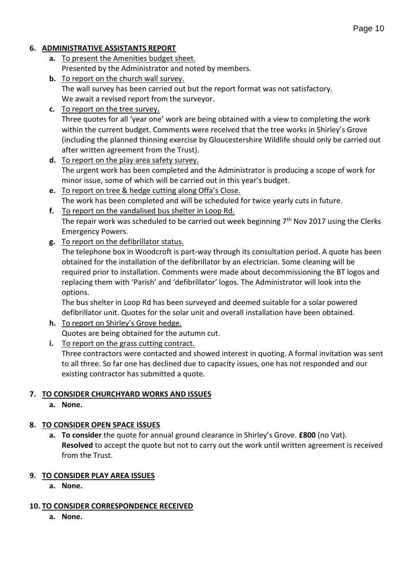#### **6. ADMINISTRATIVE ASSISTANTS REPORT**

- **a.** To present the Amenities budget sheet. Presented by the Administrator and noted by members.
- **b.** To report on the church wall survey. The wall survey has been carried out but the report format was not satisfactory. We await a revised report from the surveyor.
- **c.** To report on the tree survey**.** Three quotes for all 'year one' work are being obtained with a view to completing the work within the current budget. Comments were received that the tree works in Shirley's Grove (including the planned thinning exercise by Gloucestershire Wildlife should only be carried out after written agreement from the Trust).
- **d.** To report on the play area safety survey. The urgent work has been completed and the Administrator is producing a scope of work for minor issue, some of which will be carried out in this year's budget.
- **e.** To report on tree & hedge cutting along Offa's Close. The work has been completed and will be scheduled for twice yearly cuts in future.
- **f.** To report on the vandalised bus shelter in Loop Rd. The repair work was scheduled to be carried out week beginning  $7<sup>th</sup>$  Nov 2017 using the Clerks Emergency Powers.
- **g.** To report on the defibrillator status.

The telephone box in Woodcroft is part-way through its consultation period. A quote has been obtained for the installation of the defibrillator by an electrician. Some cleaning will be required prior to installation. Comments were made about decommissioning the BT logos and replacing them with 'Parish' and 'defibrillator' logos. The Administrator will look into the options.

The bus shelter in Loop Rd has been surveyed and deemed suitable for a solar powered defibrillator unit. Quotes for the solar unit and overall installation have been obtained.

- **h.** To report on Shirley's Grove hedge. Quotes are being obtained for the autumn cut.
- **i.** To report on the grass cutting contract. Three contractors were contacted and showed interest in quoting. A formal invitation was sent to all three. So far one has declined due to capacity issues, one has not responded and our existing contractor has submitted a quote.

# **7. TO CONSIDER CHURCHYARD WORKS AND ISSUES**

**a. None.**

# **8. TO CONSIDER OPEN SPACE ISSUES**

**a. To consider** the quote for annual ground clearance in Shirley's Grove. **£800** (no Vat). **Resolved** to accept the quote but not to carry out the work until written agreement is received from the Trust.

# **9. TO CONSIDER PLAY AREA ISSUES**

**a. None.**

# **10. TO CONSIDER CORRESPONDENCE RECEIVED**

**a. None.**